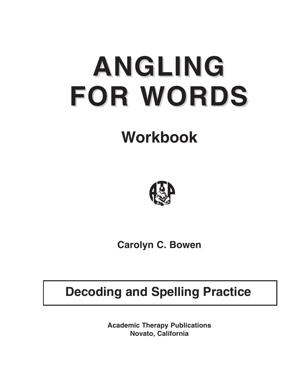# **ANGLING FOR WORDS**

# **Workbook**



**Carolyn C. Bowen**

# **Decoding and Spelling Practice**

**Academic Therapy Publications Novato, California**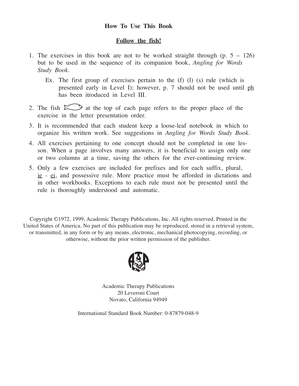#### **How To Use This Book**

#### **Follow the fish!**

- 1. The exercises in this book are not to be worked straight through (p. 5 126) but to be used in the sequence of its companion book, *Angling for Words Study Book.*
	- Ex. The first group of exercises pertain to the (f) (l) (s) rule (which is presented early in Level I); however, p. 7 should not be used until ph has been itroduced in Level III.
- 2. The fish  $\sum$  at the top of each page refers to the proper place of the exercise in the letter presentation order.
- 3. It is recommended that each student keep a loose-leaf notebook in which to organize his written work. See suggestions in *Angling for Words Study Book.*
- 4. All exercises pertaining to one concept should not be completed in one lesson. When a page involves many answers, it is beneficial to assign only one or two columns at a time, saving the others for the ever-continuing review.
- 5. Only a few exercises are included for prefixes and for each suffix, plural, ie - ei, and possessive rule. More practice must be afforded in dictations and in other workbooks. Exceptions to each rule must not be presented until the rule is thoroughly understood and automatic.

Copyright ©1972, 1999, Academic Therapy Publications, Inc. All rights reserved. Printed in the United States of America. No part of this publication may be reproduced, stored in a retrieval system, or transmitted, in any form or by any means, electronic, mechanical photocopying, recording, or otherwise, without the prior written permission of the publisher.



Academic Therapy Publications 20 Leveroni Court Novato, California 94949

International Standard Book Number: 0-87879-048-9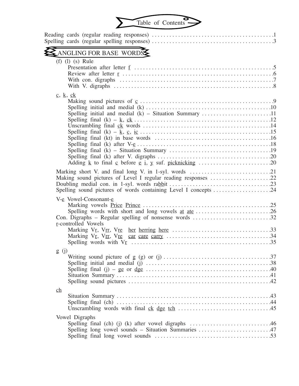

|                         | Reading cards (regular reading responses) $\dots \dots \dots \dots \dots \dots \dots \dots \dots \dots \dots \dots \dots \dots$ |  |
|-------------------------|---------------------------------------------------------------------------------------------------------------------------------|--|
|                         | ANGLING FOR BASE WORDS                                                                                                          |  |
|                         | $(f)$ $(l)$ $(s)$ Rule                                                                                                          |  |
|                         | $\underline{c}$ , $\underline{k}$ , $\underline{ck}$<br>Spelling initial and medial $(k)$ – Situation Summary 11                |  |
|                         | Spelling sound pictures of words containing Level I concepts 24                                                                 |  |
|                         | V-e Vowel-Consonant-e<br>r-controlled Vowels                                                                                    |  |
| g(j)                    |                                                                                                                                 |  |
| $\underline{\text{ch}}$ |                                                                                                                                 |  |
|                         | Vowel Digraphs<br>Spelling long vowel sounds - Situation Summaries 47                                                           |  |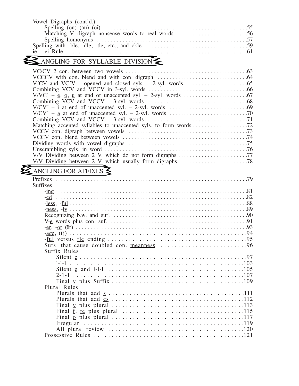| Vowel Digraphs (cont'd.) |  |
|--------------------------|--|
|                          |  |
|                          |  |
|                          |  |
|                          |  |
|                          |  |

## ANGLING FOR SYLLABLE DIVISION

| V/V Dividing between 2 V. which do not form digraphs 77                                                                                                                                                                       |  |
|-------------------------------------------------------------------------------------------------------------------------------------------------------------------------------------------------------------------------------|--|
|                                                                                                                                                                                                                               |  |
|                                                                                                                                                                                                                               |  |
| ANGLING FOR AFFIXES $\leq$                                                                                                                                                                                                    |  |
|                                                                                                                                                                                                                               |  |
| <b>Suffixes</b>                                                                                                                                                                                                               |  |
|                                                                                                                                                                                                                               |  |
|                                                                                                                                                                                                                               |  |
|                                                                                                                                                                                                                               |  |
|                                                                                                                                                                                                                               |  |
|                                                                                                                                                                                                                               |  |
|                                                                                                                                                                                                                               |  |
|                                                                                                                                                                                                                               |  |
|                                                                                                                                                                                                                               |  |
|                                                                                                                                                                                                                               |  |
|                                                                                                                                                                                                                               |  |
| Suffix Rules                                                                                                                                                                                                                  |  |
|                                                                                                                                                                                                                               |  |
|                                                                                                                                                                                                                               |  |
|                                                                                                                                                                                                                               |  |
|                                                                                                                                                                                                                               |  |
|                                                                                                                                                                                                                               |  |
| Plural Rules and the contract of the contract of the contract of the contract of the contract of the contract of the contract of the contract of the contract of the contract of the contract of the contract of the contract |  |
|                                                                                                                                                                                                                               |  |
|                                                                                                                                                                                                                               |  |
|                                                                                                                                                                                                                               |  |
|                                                                                                                                                                                                                               |  |
|                                                                                                                                                                                                                               |  |
|                                                                                                                                                                                                                               |  |
|                                                                                                                                                                                                                               |  |
|                                                                                                                                                                                                                               |  |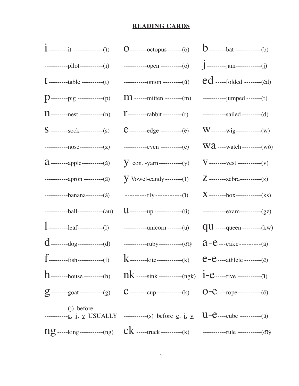#### **READING CARDS**

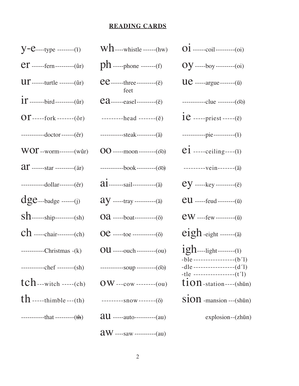#### **READING CARDS**

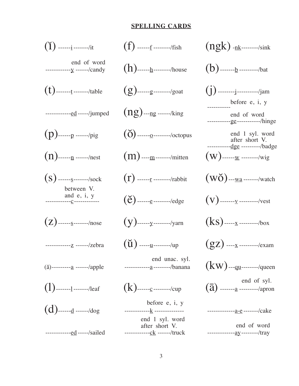#### **SPELLING CARDS**





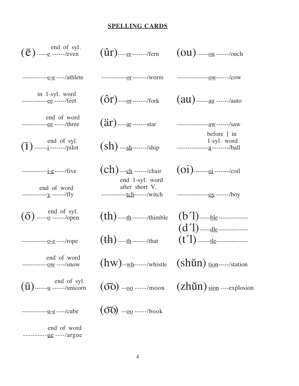### **SPELLING CARDS**

| $(\bar{e})$ end of syl.                                   | $(\hat{\mathfrak{u}}_{r})$ ---- <u>er</u> -------/fern | $(ou)$ ----- <u>ou</u> ------/ouch                                                                                                           |
|-----------------------------------------------------------|--------------------------------------------------------|----------------------------------------------------------------------------------------------------------------------------------------------|
| $------e-e---/athlete$                                    | ------------- <u>or</u> -------/worm                   | ----------------- <u>0w</u> ------/cow                                                                                                       |
| in 1-syl. word<br>------------ <u>ee</u> -----/feet       | $(ôr)$ ---- <u>or</u> -------/fork                     | $(au)$ ------ <u>au</u> ------/auto                                                                                                          |
| end of word<br>------------ <u>ee</u> -----/three         | $({\rm 3r})$ ---- <u>ar</u> -------star                | ----------------- <u>aw</u> ------/saw                                                                                                       |
| $(1)$ $\frac{\text{end of syl.}}{\text{1)}\dots\text{1}}$ | $(\sh)$ ---sh-------/ship                              | before $1$ in<br>1-syl. word<br>----------------- <u>a</u> --------/ball                                                                     |
| $------i-e---/five$                                       | $(ch)$ ---ch ------/chair<br>end 1-syl. word           | $(oi)$ ------- <u>oi</u> -------/coil                                                                                                        |
| end of word<br>------------y ------/fly                   | after short V.<br>-------------tch------/witch         | ---------------- <u>oy</u> ------/boy                                                                                                        |
| $\left(\overline{O}\right)$ and of syl.                   | $(th)$ ----th -------/thimble                          | $(b')$ ----- <u>ble</u> ---------------<br>$(d')$ ----- <u>dle</u> ---------------                                                           |
| ------------- <u>0-e</u> ----/rope                        | $(\text{th})$ ---- <u>th</u> -------/that              |                                                                                                                                              |
| end of word                                               |                                                        |                                                                                                                                              |
|                                                           |                                                        | end of syl.<br>$(\overline{u})$ ------ <u>u</u> ------/unicorn $(\overline{oo})$ -- <u>oo</u> -----/moon $(zh\breve{u}n)$ sion ----explosion |
| $------u-e---/cube$                                       | $(00)$ --00 -----/book                                 |                                                                                                                                              |

 $end$  of word<br>---------<u>ue</u> ----/argue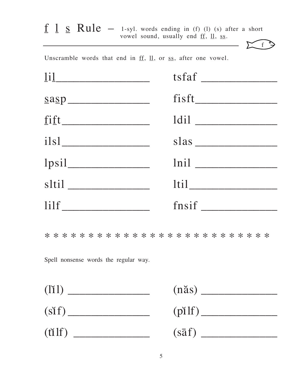|                                                                                                           | $\underline{f}$ $\underline{1}$ $\underline{s}$ $\underline{Rule}$ - 1-syl. words ending in (f) (l) (s) after a short<br>vowel sound, usually end <u>ff</u> , <u>ll</u> , ss. |
|-----------------------------------------------------------------------------------------------------------|-------------------------------------------------------------------------------------------------------------------------------------------------------------------------------|
| Unscramble words that end in $\underline{ff}$ , $\underline{ll}$ , or $\underline{ss}$ , after one vowel. |                                                                                                                                                                               |
| $\boxed{11}$                                                                                              |                                                                                                                                                                               |
| $\underline{\text{sa}}$                                                                                   |                                                                                                                                                                               |
| fift                                                                                                      |                                                                                                                                                                               |
| $i$ lsl $\overline{\phantom{a}}$                                                                          | slas                                                                                                                                                                          |
| $1 \text{psi}$                                                                                            |                                                                                                                                                                               |
| sltil _______________                                                                                     | <u>ltil</u>                                                                                                                                                                   |
| $\lim$                                                                                                    |                                                                                                                                                                               |

Spell nonsense words the regular way.

| (111)                             |        |
|-----------------------------------|--------|
| $(s$ if) $\overline{\phantom{a}}$ | (pilf) |
| (tilf)                            |        |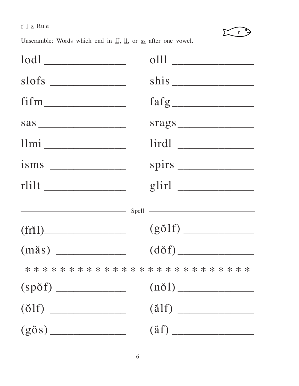## $\underline{f}$   $\underline{1}$   $\underline{s}$  Rule



Unscramble: Words which end in  $\underline{ff}$ ,  $\underline{ll}$ , or  $\underline{ss}$  after one vowel.

|                             | srags                     |
|-----------------------------|---------------------------|
|                             |                           |
| $\frac{1}{\text{30}}$       |                           |
|                             | $g$ lirl $\_\_$           |
|                             | $Spell$ $\longrightarrow$ |
| (fri1)                      |                           |
|                             |                           |
|                             |                           |
|                             |                           |
| $\left( \text{ölf} \right)$ | $(\text{älf})$            |
|                             |                           |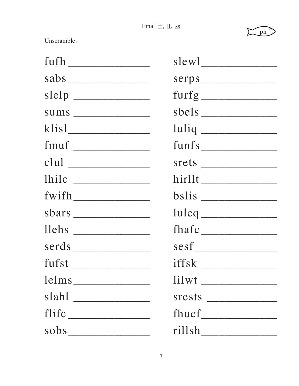Final  $\underline{ff}$ ,  $\underline{ll}$ ,  $\underline{ss}$ 



Unscramble.

| clul          |                               |
|---------------|-------------------------------|
|               |                               |
| $f with \_\_$ |                               |
|               |                               |
|               |                               |
|               |                               |
|               | $\text{iffsk}$                |
| lems          | $\limsup$ $\frac{1}{\limsup}$ |
|               |                               |
|               |                               |
|               |                               |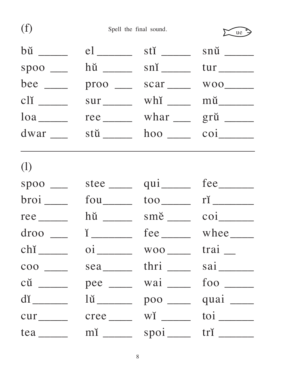| (f)                               | Spell the final sound.   |                              | ue                                              |
|-----------------------------------|--------------------------|------------------------------|-------------------------------------------------|
|                                   | $el$ <sub>_______</sub>  |                              |                                                 |
|                                   |                          | $\sin \frac{1}{\cos \theta}$ |                                                 |
| bee $\_\_$                        | $\text{proof}$           | scar ______                  |                                                 |
| cli                               | sur _______              |                              |                                                 |
|                                   | $\text{rec}\_\_\_\_\$    |                              | whar ____ grŭ _____                             |
|                                   |                          |                              | $\overline{\text{coi}}$                         |
| (1)                               |                          |                              |                                                 |
| $spoo$ <sub>___</sub>             |                          | $qui$ <sub>_______</sub>     |                                                 |
| $broi$ <sub>_____</sub>           | $fou$ <sub>_______</sub> | $100$ $\qquad$               | $\overline{\mathbf{r}}$ $\overline{\mathbf{r}}$ |
| $\text{rec}$ <sub>______</sub>    |                          |                              | $\overline{\text{coi}}$ <sub>_______</sub>      |
| droo                              | $\check{1}$              | fee                          |                                                 |
| $chi$ <sub>_____</sub>            |                          | $oi$ woo $\_\$ trai          |                                                 |
| $\frac{\cos \theta}{\cos \theta}$ |                          | sea thri _____               |                                                 |
|                                   |                          | pee ____ wai ___             |                                                 |
| $di$ <sub>_______</sub>           |                          | $100$ $\frac{ }{ }$          | quai ____                                       |
| cur cree                          |                          |                              | $\frac{\text{toi}}{\text{toi}}$                 |
| $tea$ <sub>_____</sub>            |                          | $spoi$ <sub>____</sub>       |                                                 |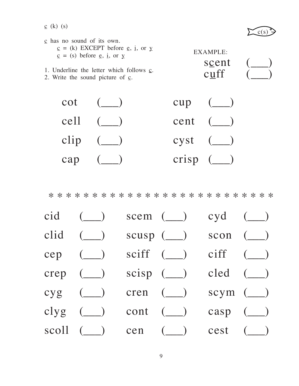$c (k)$  (s)



| $\epsilon$ has no sound of its own.<br>$\underline{c}$ = (k) EXCEPT before <u>e</u> , <u>i</u> , or y<br>$\underline{c}$ = (s) before <u>e</u> , <u>i</u> , or y<br>1. Underline the letter which follows $\mathbf{c}$ .<br>2. Write the sound picture of $\mathbf{c}$ . | EXAMPLE:<br>scent<br>$c$ <u>uff</u> |  |
|--------------------------------------------------------------------------------------------------------------------------------------------------------------------------------------------------------------------------------------------------------------------------|-------------------------------------|--|
| cot                                                                                                                                                                                                                                                                      | cup                                 |  |
| cell                                                                                                                                                                                                                                                                     | cent                                |  |



\* \* \* \* \* \* \* \* \* \* \* \* \* \* \* \* \* \* \* \* \* \* \* \* \* \*

| cid  | $\left(\_\_\right)$                                                                                               | scem $(\_)$                                                                                                                                                                                                                                                                                                                                     | $cyd$ (__)                          |  |
|------|-------------------------------------------------------------------------------------------------------------------|-------------------------------------------------------------------------------------------------------------------------------------------------------------------------------------------------------------------------------------------------------------------------------------------------------------------------------------------------|-------------------------------------|--|
| clid | $\begin{pmatrix} \frac{1}{2} \\ \frac{1}{2} \end{pmatrix}$                                                        | $scusp$ $(\underline{\hspace{1cm}})$                                                                                                                                                                                                                                                                                                            | $scon$ $(\underline{\hspace{1cm}})$ |  |
|      | $cep \quad (\underline{\qquad})$                                                                                  | $sciff$ (_) $ciff$ (_)                                                                                                                                                                                                                                                                                                                          |                                     |  |
|      | crep $(\underline{\hspace{1cm}})$                                                                                 | $scisp$ ( $\qquad$ ) $\qquad$ $\qquad$ $\qquad$ $\qquad$ $\qquad$ $\qquad$ $\qquad$ $\qquad$ $\qquad$ $\qquad$ $\qquad$ $\qquad$ $\qquad$ $\qquad$ $\qquad$ $\qquad$ $\qquad$ $\qquad$ $\qquad$ $\qquad$ $\qquad$ $\qquad$ $\qquad$ $\qquad$ $\qquad$ $\qquad$ $\qquad$ $\qquad$ $\qquad$ $\qquad$ $\qquad$ $\qquad$ $\qquad$ $\qquad$ $\qquad$ |                                     |  |
|      | $cyg$ (__) cren (__) scym (__)                                                                                    |                                                                                                                                                                                                                                                                                                                                                 |                                     |  |
|      | clyg $(\_)$ cont $(\_)$                                                                                           |                                                                                                                                                                                                                                                                                                                                                 | casp $(\_)$                         |  |
|      | $\text{scal} \quad (\underline{\hspace{1cm}})$ cen $(\underline{\hspace{1cm}})$ cest $(\underline{\hspace{1cm}})$ |                                                                                                                                                                                                                                                                                                                                                 |                                     |  |